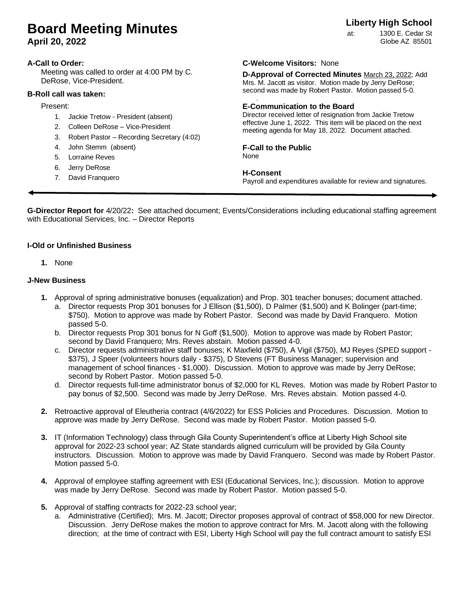# **Board Meeting Minutes**

**April 20, 2022**

#### **A-Call to Order:**

Meeting was called to order at 4:00 PM by C. DeRose, Vice-President.

#### **B-Roll call was taken:**

#### Present:

- 1. Jackie Tretow President (absent)
- 2. Colleen DeRose Vice-President
- 3. Robert Pastor Recording Secretary (4:02)
- 4. John Stemm (absent)
- 5. Lorraine Reves
- 6. Jerry DeRose
- 7. David Franquero

### **C-Welcome Visitors:** None

**D-Approval of Corrected Minutes** March 23, 2022; Add Mrs. M. Jacott as visitor. Motion made by Jerry DeRose; second was made by Robert Pastor. Motion passed 5-0.

#### . **E-Communication to the Board**

Director received letter of resignation from Jackie Tretow effective June 1, 2022. This item will be placed on the next meeting agenda for May 18, 2022. Document attached.

#### **F-Call to the Public**

None

#### **H-Consent**

Payroll and expenditures available for review and signatures.

**G-Director Report for** 4/20/22**:** See attached document; Events/Considerations including educational staffing agreement with Educational Services, Inc. – Director Reports

#### **I-Old or Unfinished Business**

**1.** None

#### **J-New Business**

- **1.** Approval of spring administrative bonuses (equalization) and Prop. 301 teacher bonuses; document attached.
	- a. Director requests Prop 301 bonuses for J Ellison (\$1,500), D Palmer (\$1,500) and K Bolinger (part-time; \$750). Motion to approve was made by Robert Pastor. Second was made by David Franquero. Motion passed 5-0.
	- b. Director requests Prop 301 bonus for N Goff (\$1,500). Motion to approve was made by Robert Pastor; second by David Franquero; Mrs. Reves abstain. Motion passed 4-0.
	- c. Director requests administrative staff bonuses; K Maxfield (\$750), A Vigil (\$750), MJ Reyes (SPED support \$375), J Speer (volunteers hours daily - \$375), D Stevens (FT Business Manager; supervision and management of school finances - \$1,000). Discussion. Motion to approve was made by Jerry DeRose; second by Robert Pastor. Motion passed 5-0.
	- d. Director requests full-time administrator bonus of \$2,000 for KL Reves. Motion was made by Robert Pastor to pay bonus of \$2,500. Second was made by Jerry DeRose. Mrs. Reves abstain. Motion passed 4-0.
- **2.** Retroactive approval of Eleutheria contract (4/6/2022) for ESS Policies and Procedures. Discussion. Motion to approve was made by Jerry DeRose. Second was made by Robert Pastor. Motion passed 5-0.
- **3.** IT (Information Technology) class through Gila County Superintendent's office at Liberty High School site approval for 2022-23 school year; AZ State standards aligned curriculum will be provided by Gila County instructors. Discussion. Motion to approve was made by David Franquero. Second was made by Robert Pastor. Motion passed 5-0.
- **4.** Approval of employee staffing agreement with ESI (Educational Services, Inc.); discussion. Motion to approve was made by Jerry DeRose. Second was made by Robert Pastor. Motion passed 5-0.
- **5.** Approval of staffing contracts for 2022-23 school year;
	- a. Administrative (Certified); Mrs. M. Jacott; Director proposes approval of contract of \$58,000 for new Director. Discussion. Jerry DeRose makes the motion to approve contract for Mrs. M. Jacott along with the following direction; at the time of contract with ESI, Liberty High School will pay the full contract amount to satisfy ESI

## **Liberty High School**

at: 1300 E. Cedar St Globe AZ 85501